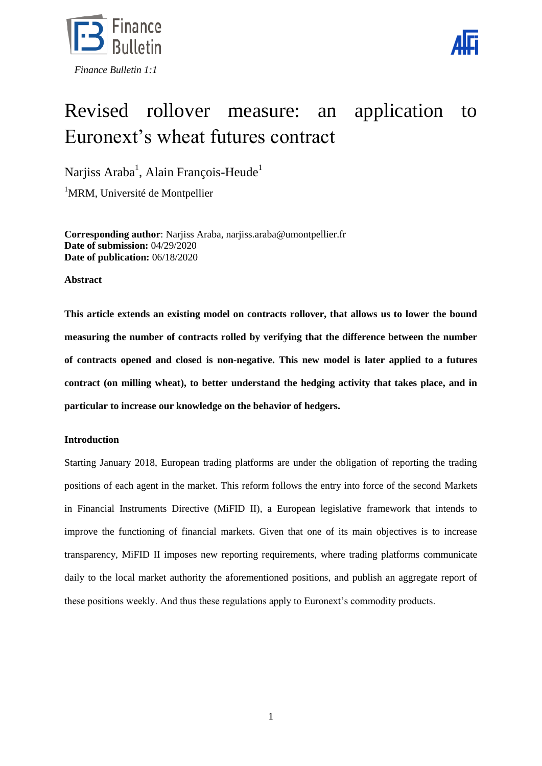



# Revised rollover measure: an application to Euronext's wheat futures contract

Narjiss Araba<sup>1</sup>, Alain François-Heude<sup>1</sup>

<sup>1</sup>MRM, Université de Montpellier

**Corresponding author**: Narjiss Araba, narjiss.araba@umontpellier.fr **Date of submission:** 04/29/2020 **Date of publication:** 06/18/2020

**Abstract**

**This article extends an existing model on contracts rollover, that allows us to lower the bound measuring the number of contracts rolled by verifying that the difference between the number of contracts opened and closed is non-negative. This new model is later applied to a futures contract (on milling wheat), to better understand the hedging activity that takes place, and in particular to increase our knowledge on the behavior of hedgers.**

## **Introduction**

Starting January 2018, European trading platforms are under the obligation of reporting the trading positions of each agent in the market. This reform follows the entry into force of the second Markets in Financial Instruments Directive (MiFID II), a European legislative framework that intends to improve the functioning of financial markets. Given that one of its main objectives is to increase transparency, MiFID II imposes new reporting requirements, where trading platforms communicate daily to the local market authority the aforementioned positions, and publish an aggregate report of these positions weekly. And thus these regulations apply to Euronext's commodity products.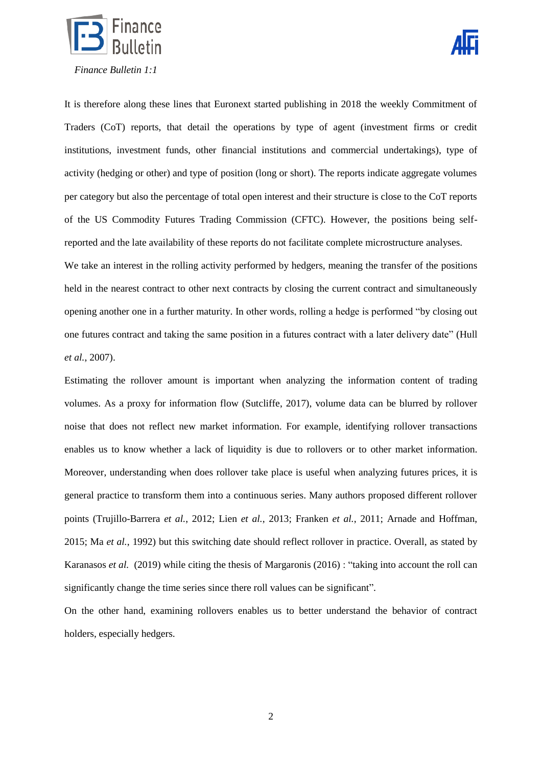



It is therefore along these lines that Euronext started publishing in 2018 the weekly Commitment of Traders (CoT) reports, that detail the operations by type of agent (investment firms or credit institutions, investment funds, other financial institutions and commercial undertakings), type of activity (hedging or other) and type of position (long or short). The reports indicate aggregate volumes per category but also the percentage of total open interest and their structure is close to the CoT reports of the US Commodity Futures Trading Commission (CFTC). However, the positions being selfreported and the late availability of these reports do not facilitate complete microstructure analyses.

We take an interest in the rolling activity performed by hedgers, meaning the transfer of the positions held in the nearest contract to other next contracts by closing the current contract and simultaneously opening another one in a further maturity. In other words, rolling a hedge is performed "by closing out one futures contract and taking the same position in a futures contract with a later delivery date" (Hull *et al.*, 2007).

Estimating the rollover amount is important when analyzing the information content of trading volumes. As a proxy for information flow (Sutcliffe, 2017), volume data can be blurred by rollover noise that does not reflect new market information. For example, identifying rollover transactions enables us to know whether a lack of liquidity is due to rollovers or to other market information. Moreover, understanding when does rollover take place is useful when analyzing futures prices, it is general practice to transform them into a continuous series. Many authors proposed different rollover points (Trujillo-Barrera *et al.*, 2012; Lien *et al.*, 2013; Franken *et al.*, 2011; Arnade and Hoffman, 2015; Ma *et al.*, 1992) but this switching date should reflect rollover in practice. Overall, as stated by Karanasos *et al.* (2019) while citing the thesis of Margaronis (2016) : "taking into account the roll can significantly change the time series since there roll values can be significant".

On the other hand, examining rollovers enables us to better understand the behavior of contract holders, especially hedgers.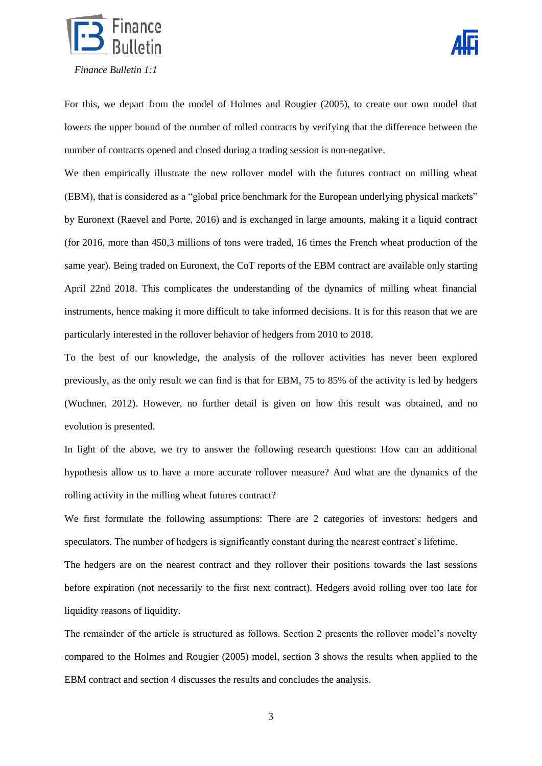



For this, we depart from the model of Holmes and Rougier (2005), to create our own model that lowers the upper bound of the number of rolled contracts by verifying that the difference between the number of contracts opened and closed during a trading session is non-negative.

We then empirically illustrate the new rollover model with the futures contract on milling wheat (EBM), that is considered as a "global price benchmark for the European underlying physical markets" by Euronext (Raevel and Porte, 2016) and is exchanged in large amounts, making it a liquid contract (for 2016, more than 450,3 millions of tons were traded, 16 times the French wheat production of the same year). Being traded on Euronext, the CoT reports of the EBM contract are available only starting April 22nd 2018. This complicates the understanding of the dynamics of milling wheat financial instruments, hence making it more difficult to take informed decisions. It is for this reason that we are particularly interested in the rollover behavior of hedgers from 2010 to 2018.

To the best of our knowledge, the analysis of the rollover activities has never been explored previously, as the only result we can find is that for EBM, 75 to 85% of the activity is led by hedgers (Wuchner, 2012). However, no further detail is given on how this result was obtained, and no evolution is presented.

In light of the above, we try to answer the following research questions: How can an additional hypothesis allow us to have a more accurate rollover measure? And what are the dynamics of the rolling activity in the milling wheat futures contract?

We first formulate the following assumptions: There are 2 categories of investors: hedgers and speculators. The number of hedgers is significantly constant during the nearest contract's lifetime.

The hedgers are on the nearest contract and they rollover their positions towards the last sessions before expiration (not necessarily to the first next contract). Hedgers avoid rolling over too late for liquidity reasons of liquidity.

The remainder of the article is structured as follows. Section 2 presents the rollover model's novelty compared to the Holmes and Rougier (2005) model, section 3 shows the results when applied to the EBM contract and section 4 discusses the results and concludes the analysis.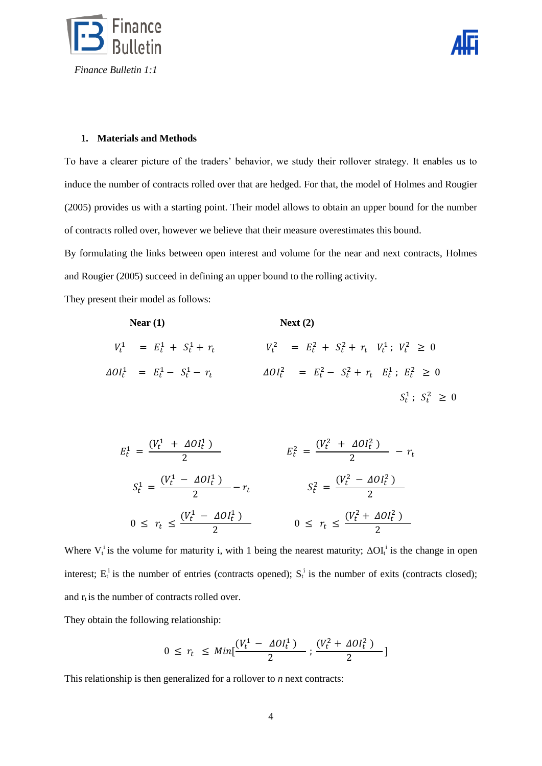



#### **1. Materials and Methods**

To have a clearer picture of the traders' behavior, we study their rollover strategy. It enables us to induce the number of contracts rolled over that are hedged. For that, the model of Holmes and Rougier (2005) provides us with a starting point. Their model allows to obtain an upper bound for the number of contracts rolled over, however we believe that their measure overestimates this bound.

By formulating the links between open interest and volume for the near and next contracts, Holmes and Rougier (2005) succeed in defining an upper bound to the rolling activity.

They present their model as follows:

\n
$$
\text{Next (2)}
$$
\n

\n\n $V_t^1 = E_t^1 + S_t^1 + r_t$ \n

\n\n $V_t^2 = E_t^2 + S_t^2 + r_t \quad V_t^1; V_t^2 \geq 0$ \n

\n\n $\Delta O I_t^1 = E_t^1 - S_t^1 - r_t$ \n

\n\n $\Delta O I_t^2 = E_t^2 - S_t^2 + r_t \quad E_t^1; E_t^2 \geq 0$ \n

\n\n $S_t^1; S_t^2 \geq 0$ \n

$$
E_t^1 = \frac{(V_t^1 + \Delta O l_t^1)}{2} \qquad E_t^2 = \frac{(V_t^2 + \Delta O l_t^2)}{2} - r_t
$$
  

$$
S_t^1 = \frac{(V_t^1 - \Delta O l_t^1)}{2} - r_t \qquad S_t^2 = \frac{(V_t^2 - \Delta O l_t^2)}{2}
$$
  

$$
0 \le r_t \le \frac{(V_t^1 - \Delta O l_t^1)}{2} \qquad 0 \le r_t \le \frac{(V_t^2 + \Delta O l_t^2)}{2}
$$

Where  $V_t^i$  is the volume for maturity i, with 1 being the nearest maturity;  $\Delta O I_t^i$  is the change in open interest;  $E_t^i$  is the number of entries (contracts opened);  $S_t^i$  is the number of exits (contracts closed); and  $r_t$  is the number of contracts rolled over.

They obtain the following relationship:

$$
0 \le r_t \le Min[\frac{(V_t^1 - \Delta O l_t^1)}{2}; \frac{(V_t^2 + \Delta O l_t^2)}{2}]
$$

This relationship is then generalized for a rollover to *n* next contracts: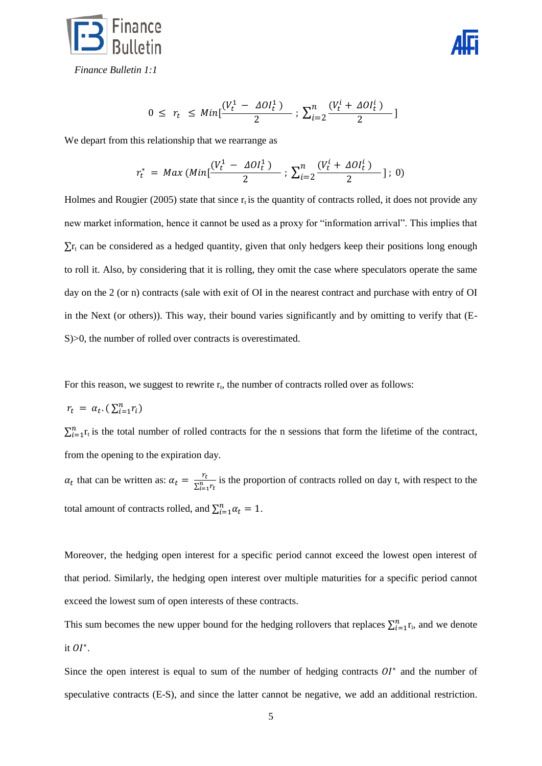



 *Finance Bulletin 1:1*

$$
0 \leq r_t \leq Min[\frac{(V_t^1 - \Delta O l_t^1)}{2} ; \sum_{i=2}^n \frac{(V_t^i + \Delta O l_t^i)}{2}]
$$

We depart from this relationship that we rearrange as

$$
r_t^* = Max \left( Min[\frac{(V_t^1 - \Delta O l_t^1)}{2} : \sum_{i=2}^n \frac{(V_t^i + \Delta O l_t^i)}{2}]: 0 \right)
$$

Holmes and Rougier (2005) state that since  $r_t$  is the quantity of contracts rolled, it does not provide any new market information, hence it cannot be used as a proxy for "information arrival". This implies that  $\sum r_t$  can be considered as a hedged quantity, given that only hedgers keep their positions long enough to roll it. Also, by considering that it is rolling, they omit the case where speculators operate the same day on the 2 (or n) contracts (sale with exit of OI in the nearest contract and purchase with entry of OI in the Next (or others)). This way, their bound varies significantly and by omitting to verify that (E-S $>0$ , the number of rolled over contracts is overestimated.

For this reason, we suggest to rewrite  $r_t$ , the number of contracts rolled over as follows:

$$
r_t = \alpha_t. (\sum_{i=1}^n r_i)
$$

 $\sum_{i=1}^{n} r_t$  is the total number of rolled contracts for the n sessions that form the lifetime of the contract, from the opening to the expiration day.

 $\alpha_t$  that can be written as:  $\alpha_t = \frac{r}{\sqrt{n}}$  $\frac{r_t}{\sum_{i=1}^n r_t}$  is the proportion of contracts rolled on day t, with respect to the total amount of contracts rolled, and  $\sum_{i=1}^{n} \alpha_i = 1$ .

Moreover, the hedging open interest for a specific period cannot exceed the lowest open interest of that period. Similarly, the hedging open interest over multiple maturities for a specific period cannot exceed the lowest sum of open interests of these contracts.

This sum becomes the new upper bound for the hedging rollovers that replaces  $\sum_{i=1}^{n} r_i$ , and we denote it  $OI^*$ .

Since the open interest is equal to sum of the number of hedging contracts  $OI^*$  and the number of speculative contracts (E-S), and since the latter cannot be negative, we add an additional restriction.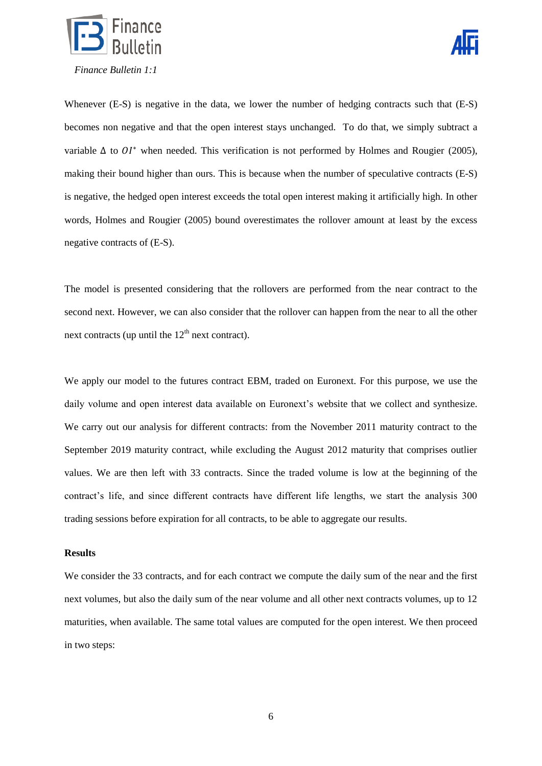



Whenever (E-S) is negative in the data, we lower the number of hedging contracts such that (E-S) becomes non negative and that the open interest stays unchanged. To do that, we simply subtract a variable  $\Delta$  to  $OI^*$  when needed. This verification is not performed by Holmes and Rougier (2005), making their bound higher than ours. This is because when the number of speculative contracts (E-S) is negative, the hedged open interest exceeds the total open interest making it artificially high. In other words, Holmes and Rougier (2005) bound overestimates the rollover amount at least by the excess negative contracts of (E-S).

The model is presented considering that the rollovers are performed from the near contract to the second next. However, we can also consider that the rollover can happen from the near to all the other next contracts (up until the  $12<sup>th</sup>$  next contract).

We apply our model to the futures contract EBM, traded on Euronext. For this purpose, we use the daily volume and open interest data available on Euronext's website that we collect and synthesize. We carry out our analysis for different contracts: from the November 2011 maturity contract to the September 2019 maturity contract, while excluding the August 2012 maturity that comprises outlier values. We are then left with 33 contracts. Since the traded volume is low at the beginning of the contract's life, and since different contracts have different life lengths, we start the analysis 300 trading sessions before expiration for all contracts, to be able to aggregate our results.

#### **Results**

We consider the 33 contracts, and for each contract we compute the daily sum of the near and the first next volumes, but also the daily sum of the near volume and all other next contracts volumes, up to 12 maturities, when available. The same total values are computed for the open interest. We then proceed in two steps: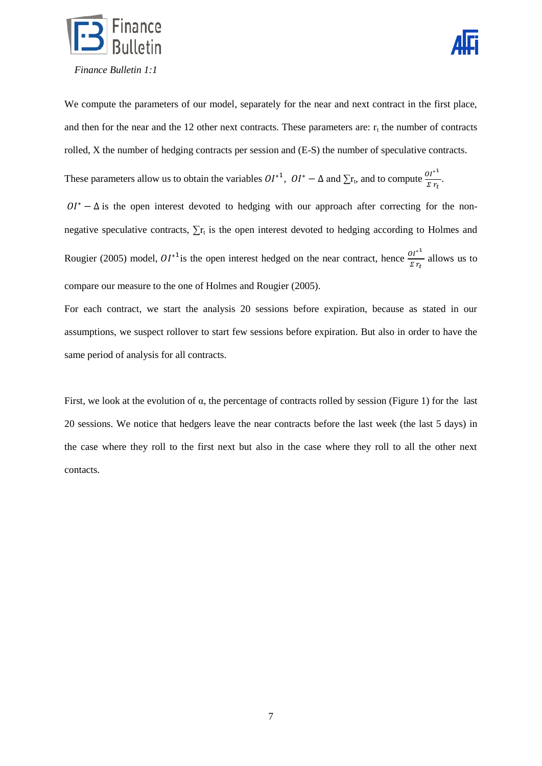



We compute the parameters of our model, separately for the near and next contract in the first place, and then for the near and the 12 other next contracts. These parameters are:  $r_t$  the number of contracts rolled, X the number of hedging contracts per session and (E-S) the number of speculative contracts.

These parameters allow us to obtain the variables  $OI^{*1}$ ,  $OI^{*} - \Delta$  and  $\Sigma r_t$ , and to compute  $\frac{OI^{*}}{\Sigma r_t}$ .

 $0I^* - \Delta$  is the open interest devoted to hedging with our approach after correcting for the nonnegative speculative contracts,  $\sum_{i=1}^{n} r_i$  is the open interest devoted to hedging according to Holmes and Rougier (2005) model,  $OI^{*1}$  is the open interest hedged on the near contract, hence  $\frac{or}{z r_t}$  allows us to compare our measure to the one of Holmes and Rougier (2005).

For each contract, we start the analysis 20 sessions before expiration, because as stated in our assumptions, we suspect rollover to start few sessions before expiration. But also in order to have the same period of analysis for all contracts.

First, we look at the evolution of α, the percentage of contracts rolled by session [\(Figure 1\)](#page-7-0) for the last 20 sessions. We notice that hedgers leave the near contracts before the last week (the last 5 days) in the case where they roll to the first next but also in the case where they roll to all the other next contacts.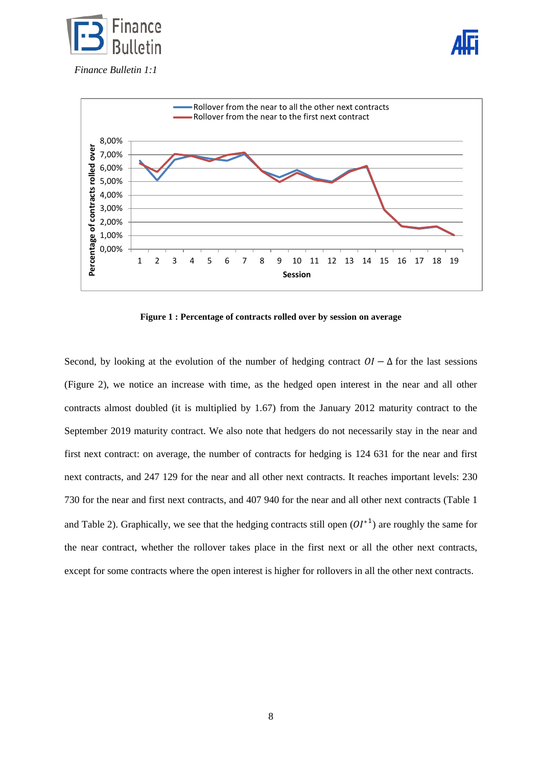





**Figure 1 : Percentage of contracts rolled over by session on average**

<span id="page-7-0"></span>Second, by looking at the evolution of the number of hedging contract  $OI - \Delta$  for the last sessions [\(Figure 2\)](#page-8-0), we notice an increase with time, as the hedged open interest in the near and all other contracts almost doubled (it is multiplied by 1.67) from the January 2012 maturity contract to the September 2019 maturity contract. We also note that hedgers do not necessarily stay in the near and first next contract: on average, the number of contracts for hedging is 124 631 for the near and first next contracts, and 247 129 for the near and all other next contracts. It reaches important levels: 230 730 for the near and first next contracts, and 407 940 for the near and all other next contracts (Table 1 and Table 2). Graphically, we see that the hedging contracts still open  $(01^{*1})$  are roughly the same for the near contract, whether the rollover takes place in the first next or all the other next contracts, except for some contracts where the open interest is higher for rollovers in all the other next contracts.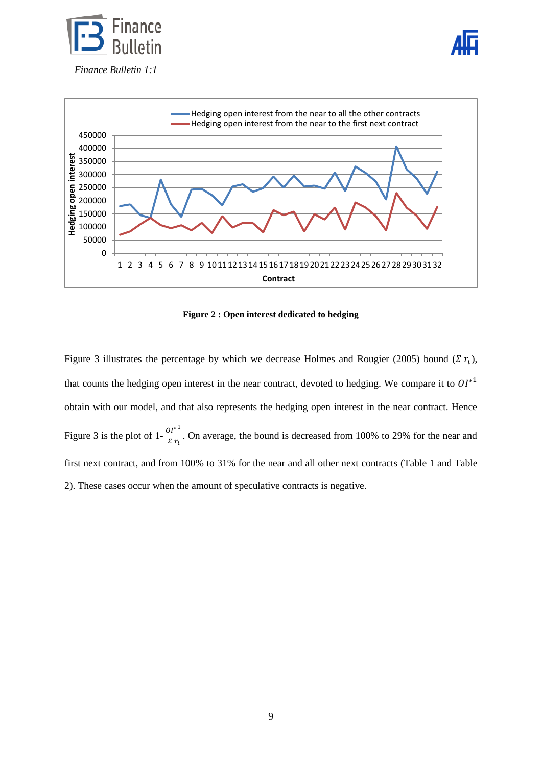





**Figure 2 : Open interest dedicated to hedging**

<span id="page-8-0"></span>[Figure 3](#page-9-0) illustrates the percentage by which we decrease Holmes and Rougier (2005) bound ( $\sum r_t$ ), that counts the hedging open interest in the near contract, devoted to hedging. We compare it to  $OI^{*1}$ obtain with our model, and that also represents the hedging open interest in the near contract. Hence [Figure 3](#page-9-0) is the plot of 1- $\frac{0}{3}$  $\frac{\partial T}{\partial \Sigma r}$ . On average, the bound is decreased from 100% to 29% for the near and first next contract, and from 100% to 31% for the near and all other next contracts (Table 1 and Table 2). These cases occur when the amount of speculative contracts is negative.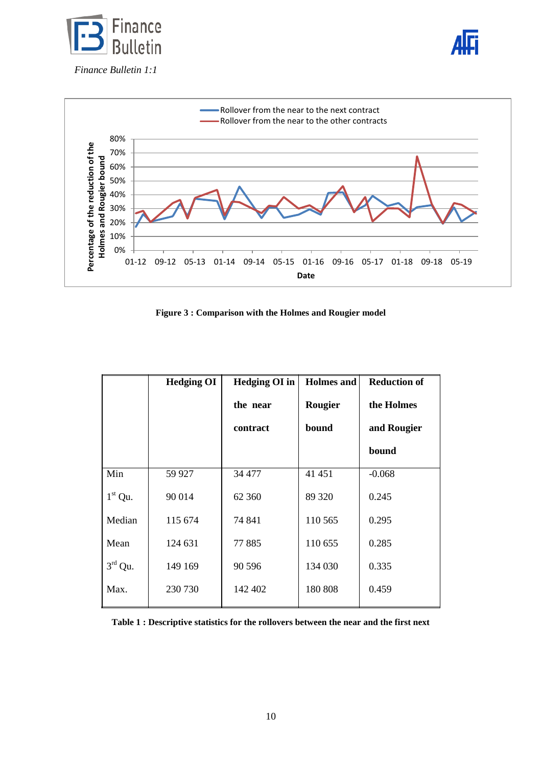





**Figure 3 : Comparison with the Holmes and Rougier model**

<span id="page-9-0"></span>

|                  | <b>Hedging OI</b> | Hedging OI in | <b>Holmes</b> and | <b>Reduction of</b> |
|------------------|-------------------|---------------|-------------------|---------------------|
|                  |                   | the near      | Rougier           | the Holmes          |
|                  |                   | contract      | bound             | and Rougier         |
|                  |                   |               |                   | bound               |
| Min              | 59 927            | 34 477        | 41 451            | $-0.068$            |
| $1st$ Qu.        | 90 014            | 62 360        | 89 320            | 0.245               |
| Median           | 115 674           | 74 841        | 110 565           | 0.295               |
| Mean             | 124 631           | 77885         | 110 655           | 0.285               |
| $3^{\rm rd}$ Qu. | 149 169           | 90 5 96       | 134 030           | 0.335               |
| Max.             | 230 730           | 142 402       | 180 808           | 0.459               |

**Table 1 : Descriptive statistics for the rollovers between the near and the first next**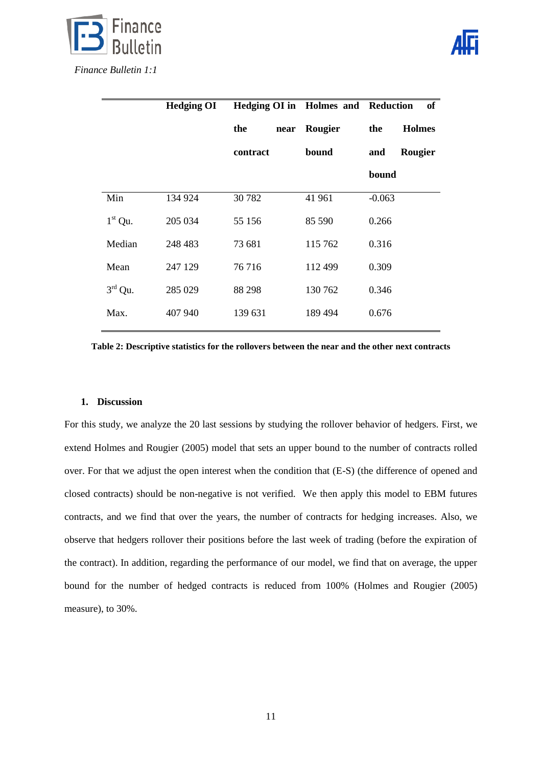

|                     | <b>Hedging OI</b> | Hedging OI in Holmes and Reduction |         | of                   |
|---------------------|-------------------|------------------------------------|---------|----------------------|
|                     |                   | the<br>near                        | Rougier | <b>Holmes</b><br>the |
|                     |                   | contract                           | bound   | Rougier<br>and       |
|                     |                   |                                    |         | bound                |
| Min                 | 134 924           | 30782                              | 41 961  | $-0.063$             |
| $1st$ Qu.           | 205 034           | 55 156                             | 85 590  | 0.266                |
| Median              | 248 483           | 73 681                             | 115 762 | 0.316                |
| Mean                | 247 129           | 76 716                             | 112 499 | 0.309                |
| $3^{\text{rd}}$ Qu. | 285 029           | 88 298                             | 130 762 | 0.346                |
| Max.                | 407 940           | 139 631                            | 189 494 | 0.676                |

**Table 2: Descriptive statistics for the rollovers between the near and the other next contracts**

### **1. Discussion**

For this study, we analyze the 20 last sessions by studying the rollover behavior of hedgers. First, we extend Holmes and Rougier (2005) model that sets an upper bound to the number of contracts rolled over. For that we adjust the open interest when the condition that (E-S) (the difference of opened and closed contracts) should be non-negative is not verified. We then apply this model to EBM futures contracts, and we find that over the years, the number of contracts for hedging increases. Also, we observe that hedgers rollover their positions before the last week of trading (before the expiration of the contract). In addition, regarding the performance of our model, we find that on average, the upper bound for the number of hedged contracts is reduced from 100% (Holmes and Rougier (2005) measure), to 30%.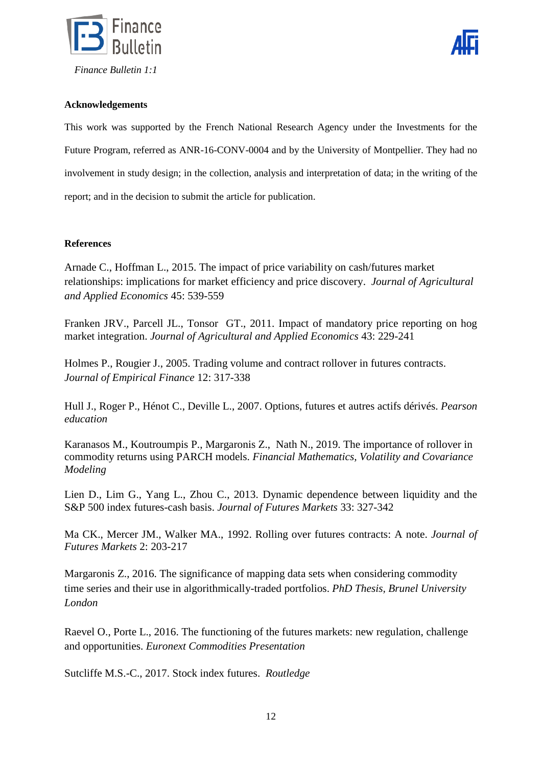



# **Acknowledgements**

This work was supported by the French National Research Agency under the Investments for the Future Program, referred as ANR-16-CONV-0004 and by the University of Montpellier. They had no involvement in study design; in the collection, analysis and interpretation of data; in the writing of the report; and in the decision to submit the article for publication.

# **References**

Arnade C., Hoffman L., 2015. The impact of price variability on cash/futures market relationships: implications for market efficiency and price discovery. *Journal of Agricultural and Applied Economics* 45: 539-559

Franken JRV., Parcell JL., Tonsor GT., 2011. Impact of mandatory price reporting on hog market integration. *Journal of Agricultural and Applied Economics* 43: 229-241

Holmes P., Rougier J., 2005. Trading volume and contract rollover in futures contracts. *Journal of Empirical Finance* 12: 317-338

Hull J., Roger P., Hénot C., Deville L., 2007. Options, futures et autres actifs dérivés. *Pearson education*

[Karanasos](https://www.researchgate.net/profile/Menelaos_Karanasos) M., [Koutroumpis](https://www.researchgate.net/profile/Panagiotis_Koutroumpis) P., [Margaronis](https://www.researchgate.net/scientific-contributions/2136231846_Zannis_Margaronis) Z., [Nath](https://www.researchgate.net/scientific-contributions/2136222228_Rajat_Nath) N., 2019. The importance of rollover in commodity returns using PARCH models. *Financial Mathematics, Volatility and Covariance Modeling*

Lien D., Lim G., Yang L., Zhou C., 2013. Dynamic dependence between liquidity and the S&P 500 index futures-cash basis. *Journal of Futures Markets* 33: 327-342

Ma CK., Mercer JM., Walker MA., 1992. Rolling over futures contracts: A note. *Journal of Futures Markets* 2: 203-217

Margaronis Z., 2016. The significance of mapping data sets when considering commodity time series and their use in algorithmically-traded portfolios. *PhD Thesis, Brunel University London*

Raevel O., Porte L., 2016. The functioning of the futures markets: new regulation, challenge and opportunities. *Euronext Commodities Presentation*

[Sutcliffe](https://www.routledge.com/search?author=Charles%20M.S.%20Sutcliffe) M.S.-C., 2017. Stock index futures. *Routledge*